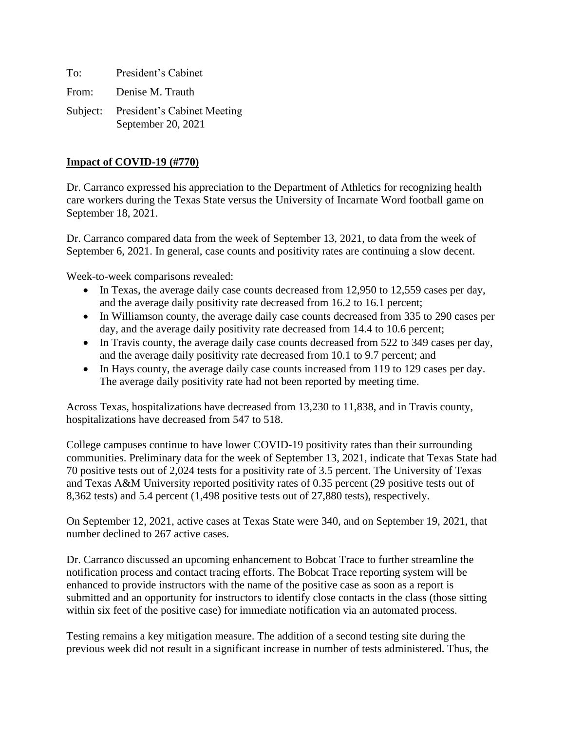To: President's Cabinet From: Denise M. Trauth Subject: President's Cabinet Meeting

September 20, 2021

# **Impact of COVID-19 (#770)**

Dr. Carranco expressed his appreciation to the Department of Athletics for recognizing health care workers during the Texas State versus the University of Incarnate Word football game on September 18, 2021.

Dr. Carranco compared data from the week of September 13, 2021, to data from the week of September 6, 2021. In general, case counts and positivity rates are continuing a slow decent.

Week-to-week comparisons revealed:

- In Texas, the average daily case counts decreased from 12,950 to 12,559 cases per day, and the average daily positivity rate decreased from 16.2 to 16.1 percent;
- In Williamson county, the average daily case counts decreased from 335 to 290 cases per day, and the average daily positivity rate decreased from 14.4 to 10.6 percent;
- In Travis county, the average daily case counts decreased from 522 to 349 cases per day, and the average daily positivity rate decreased from 10.1 to 9.7 percent; and
- In Hays county, the average daily case counts increased from 119 to 129 cases per day. The average daily positivity rate had not been reported by meeting time.

Across Texas, hospitalizations have decreased from 13,230 to 11,838, and in Travis county, hospitalizations have decreased from 547 to 518.

College campuses continue to have lower COVID-19 positivity rates than their surrounding communities. Preliminary data for the week of September 13, 2021, indicate that Texas State had 70 positive tests out of 2,024 tests for a positivity rate of 3.5 percent. The University of Texas and Texas A&M University reported positivity rates of 0.35 percent (29 positive tests out of 8,362 tests) and 5.4 percent (1,498 positive tests out of 27,880 tests), respectively.

On September 12, 2021, active cases at Texas State were 340, and on September 19, 2021, that number declined to 267 active cases.

Dr. Carranco discussed an upcoming enhancement to Bobcat Trace to further streamline the notification process and contact tracing efforts. The Bobcat Trace reporting system will be enhanced to provide instructors with the name of the positive case as soon as a report is submitted and an opportunity for instructors to identify close contacts in the class (those sitting within six feet of the positive case) for immediate notification via an automated process.

Testing remains a key mitigation measure. The addition of a second testing site during the previous week did not result in a significant increase in number of tests administered. Thus, the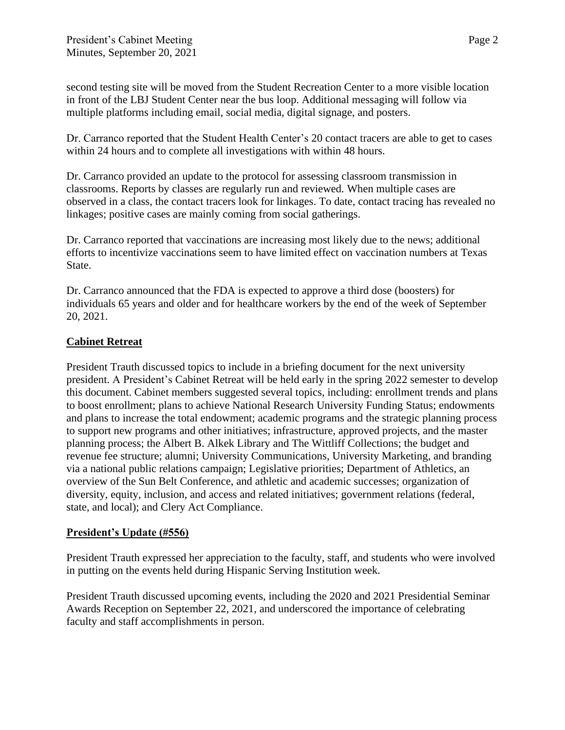second testing site will be moved from the Student Recreation Center to a more visible location in front of the LBJ Student Center near the bus loop. Additional messaging will follow via multiple platforms including email, social media, digital signage, and posters.

Dr. Carranco reported that the Student Health Center's 20 contact tracers are able to get to cases within 24 hours and to complete all investigations with within 48 hours.

Dr. Carranco provided an update to the protocol for assessing classroom transmission in classrooms. Reports by classes are regularly run and reviewed. When multiple cases are observed in a class, the contact tracers look for linkages. To date, contact tracing has revealed no linkages; positive cases are mainly coming from social gatherings.

Dr. Carranco reported that vaccinations are increasing most likely due to the news; additional efforts to incentivize vaccinations seem to have limited effect on vaccination numbers at Texas State.

Dr. Carranco announced that the FDA is expected to approve a third dose (boosters) for individuals 65 years and older and for healthcare workers by the end of the week of September 20, 2021.

# **Cabinet Retreat**

President Trauth discussed topics to include in a briefing document for the next university president. A President's Cabinet Retreat will be held early in the spring 2022 semester to develop this document. Cabinet members suggested several topics, including: enrollment trends and plans to boost enrollment; plans to achieve National Research University Funding Status; endowments and plans to increase the total endowment; academic programs and the strategic planning process to support new programs and other initiatives; infrastructure, approved projects, and the master planning process; the Albert B. Alkek Library and The Wittliff Collections; the budget and revenue fee structure; alumni; University Communications, University Marketing, and branding via a national public relations campaign; Legislative priorities; Department of Athletics, an overview of the Sun Belt Conference, and athletic and academic successes; organization of diversity, equity, inclusion, and access and related initiatives; government relations (federal, state, and local); and Clery Act Compliance.

## **President's Update (#556)**

President Trauth expressed her appreciation to the faculty, staff, and students who were involved in putting on the events held during Hispanic Serving Institution week.

President Trauth discussed upcoming events, including the 2020 and 2021 Presidential Seminar Awards Reception on September 22, 2021, and underscored the importance of celebrating faculty and staff accomplishments in person.